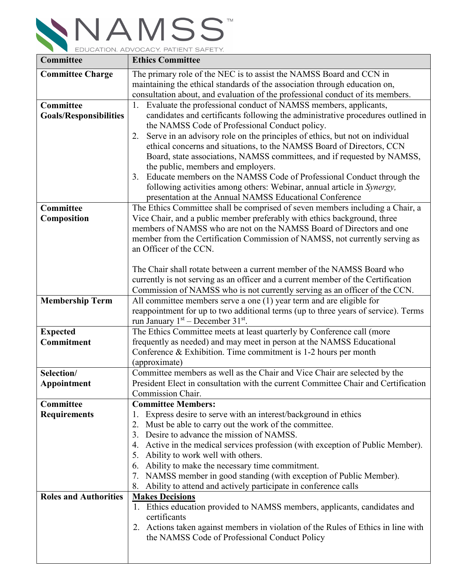

| Committee                     | <b>Ethics Committee</b>                                                                                                                                   |
|-------------------------------|-----------------------------------------------------------------------------------------------------------------------------------------------------------|
| <b>Committee Charge</b>       | The primary role of the NEC is to assist the NAMSS Board and CCN in                                                                                       |
|                               | maintaining the ethical standards of the association through education on,                                                                                |
|                               | consultation about, and evaluation of the professional conduct of its members.                                                                            |
| Committee                     | Evaluate the professional conduct of NAMSS members, applicants,                                                                                           |
| <b>Goals/Responsibilities</b> | candidates and certificants following the administrative procedures outlined in                                                                           |
|                               | the NAMSS Code of Professional Conduct policy.                                                                                                            |
|                               | Serve in an advisory role on the principles of ethics, but not on individual<br>2.                                                                        |
|                               | ethical concerns and situations, to the NAMSS Board of Directors, CCN                                                                                     |
|                               | Board, state associations, NAMSS committees, and if requested by NAMSS,                                                                                   |
|                               | the public, members and employers.                                                                                                                        |
|                               | Educate members on the NAMSS Code of Professional Conduct through the<br>3.                                                                               |
|                               | following activities among others: Webinar, annual article in Synergy,                                                                                    |
| Committee                     | presentation at the Annual NAMSS Educational Conference                                                                                                   |
| Composition                   | The Ethics Committee shall be comprised of seven members including a Chair, a<br>Vice Chair, and a public member preferably with ethics background, three |
|                               | members of NAMSS who are not on the NAMSS Board of Directors and one                                                                                      |
|                               | member from the Certification Commission of NAMSS, not currently serving as                                                                               |
|                               | an Officer of the CCN.                                                                                                                                    |
|                               |                                                                                                                                                           |
|                               | The Chair shall rotate between a current member of the NAMSS Board who                                                                                    |
|                               | currently is not serving as an officer and a current member of the Certification                                                                          |
|                               | Commission of NAMSS who is not currently serving as an officer of the CCN.                                                                                |
| <b>Membership Term</b>        | All committee members serve a one (1) year term and are eligible for                                                                                      |
|                               | reappointment for up to two additional terms (up to three years of service). Terms                                                                        |
|                               | run January $1st$ – December 31 <sup>st</sup> .                                                                                                           |
| <b>Expected</b>               | The Ethics Committee meets at least quarterly by Conference call (more                                                                                    |
| Commitment                    | frequently as needed) and may meet in person at the NAMSS Educational                                                                                     |
|                               | Conference & Exhibition. Time commitment is 1-2 hours per month                                                                                           |
| Selection/                    | (approximate)<br>Committee members as well as the Chair and Vice Chair are selected by the                                                                |
| Appointment                   | President Elect in consultation with the current Committee Chair and Certification                                                                        |
|                               | Commission Chair.                                                                                                                                         |
| Committee                     | <b>Committee Members:</b>                                                                                                                                 |
| <b>Requirements</b>           | Express desire to serve with an interest/background in ethics<br>1.                                                                                       |
|                               | Must be able to carry out the work of the committee.                                                                                                      |
|                               | Desire to advance the mission of NAMSS.<br>3.                                                                                                             |
|                               | Active in the medical services profession (with exception of Public Member).<br>4.                                                                        |
|                               | Ability to work well with others.<br>5.                                                                                                                   |
|                               | Ability to make the necessary time commitment.<br>6.                                                                                                      |
|                               | NAMSS member in good standing (with exception of Public Member).                                                                                          |
|                               | Ability to attend and actively participate in conference calls<br>8.                                                                                      |
| <b>Roles and Authorities</b>  | <b>Makes Decisions</b>                                                                                                                                    |
|                               | 1. Ethics education provided to NAMSS members, applicants, candidates and                                                                                 |
|                               | certificants                                                                                                                                              |
|                               | 2. Actions taken against members in violation of the Rules of Ethics in line with                                                                         |
|                               | the NAMSS Code of Professional Conduct Policy                                                                                                             |
|                               |                                                                                                                                                           |